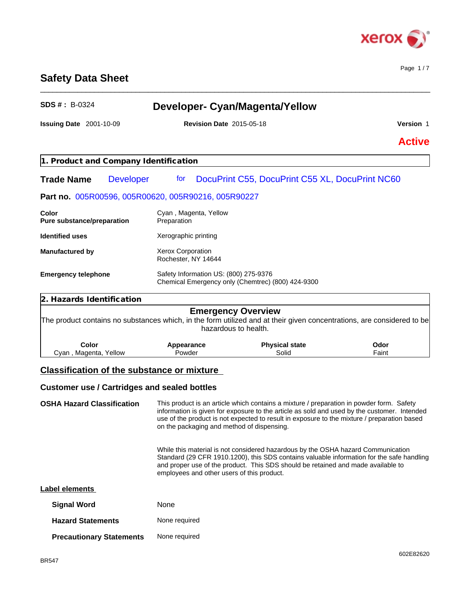

Page 1 / 7

# **Safety Data Sheet**

| <b>Revision Date 2015-05-18</b>          |                                                           | Version 1                                                                                                                                                                                                                                                                                                                                                                           |  |
|------------------------------------------|-----------------------------------------------------------|-------------------------------------------------------------------------------------------------------------------------------------------------------------------------------------------------------------------------------------------------------------------------------------------------------------------------------------------------------------------------------------|--|
|                                          |                                                           | <b>Active</b>                                                                                                                                                                                                                                                                                                                                                                       |  |
|                                          |                                                           |                                                                                                                                                                                                                                                                                                                                                                                     |  |
| for                                      |                                                           |                                                                                                                                                                                                                                                                                                                                                                                     |  |
|                                          |                                                           |                                                                                                                                                                                                                                                                                                                                                                                     |  |
| Cyan, Magenta, Yellow<br>Preparation     |                                                           |                                                                                                                                                                                                                                                                                                                                                                                     |  |
| Xerographic printing                     |                                                           |                                                                                                                                                                                                                                                                                                                                                                                     |  |
| Xerox Corporation<br>Rochester, NY 14644 |                                                           |                                                                                                                                                                                                                                                                                                                                                                                     |  |
| <b>Emergency telephone</b>               |                                                           |                                                                                                                                                                                                                                                                                                                                                                                     |  |
|                                          |                                                           |                                                                                                                                                                                                                                                                                                                                                                                     |  |
|                                          |                                                           |                                                                                                                                                                                                                                                                                                                                                                                     |  |
| Appearance<br>Powder                     | <b>Physical state</b><br>Solid                            | Odor<br>Faint                                                                                                                                                                                                                                                                                                                                                                       |  |
|                                          | 1. Product and Company Identification<br><b>Developer</b> | DocuPrint C55, DocuPrint C55 XL, DocuPrint NC60<br>Part no. 005R00596, 005R00620, 005R90216, 005R90227<br>Safety Information US: (800) 275-9376<br>Chemical Emergency only (Chemtrec) (800) 424-9300<br><b>Emergency Overview</b><br>The product contains no substances which, in the form utilized and at their given concentrations, are considered to be<br>hazardous to health. |  |

\_\_\_\_\_\_\_\_\_\_\_\_\_\_\_\_\_\_\_\_\_\_\_\_\_\_\_\_\_\_\_\_\_\_\_\_\_\_\_\_\_\_\_\_\_\_\_\_\_\_\_\_\_\_\_\_\_\_\_\_\_\_\_\_\_\_\_\_\_\_\_\_\_\_\_\_\_\_\_\_\_\_\_\_\_\_\_\_\_\_\_\_\_\_

# **Customer use / Cartridges and sealed bottles**

# **OSHA Hazard Classification** This product is an article which contains a mixture / preparation in powder form. Safety information is given for exposure to the article as sold and used by the customer. Intended use of the product is not expected to result in exposure to the mixture / preparation based on the packaging and method of dispensing. While this material is not considered hazardous by the OSHA hazard Communication Standard (29 CFR 1910.1200), this SDS contains valuable information for the safe handling and proper use of the product. This SDS should be retained and made available to employees and other users of this product. **Label elements**

| <b>Signal Word</b>              | None          |
|---------------------------------|---------------|
| <b>Hazard Statements</b>        | None required |
| <b>Precautionary Statements</b> | None required |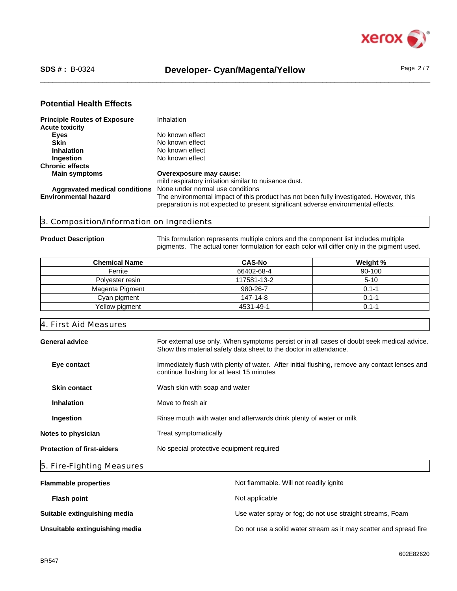

#### **Potential Health Effects**

| <b>Principle Routes of Exposure</b>  | <b>Inhalation</b>                                                                                                                                                            |
|--------------------------------------|------------------------------------------------------------------------------------------------------------------------------------------------------------------------------|
| <b>Acute toxicity</b>                |                                                                                                                                                                              |
| <b>Eyes</b>                          | No known effect                                                                                                                                                              |
| <b>Skin</b>                          | No known effect                                                                                                                                                              |
| <b>Inhalation</b>                    | No known effect                                                                                                                                                              |
| Ingestion                            | No known effect                                                                                                                                                              |
| <b>Chronic effects</b>               |                                                                                                                                                                              |
| <b>Main symptoms</b>                 | Overexposure may cause:                                                                                                                                                      |
|                                      | mild respiratory irritation similar to nuisance dust.                                                                                                                        |
| <b>Aggravated medical conditions</b> | None under normal use conditions                                                                                                                                             |
| <b>Environmental hazard</b>          | The environmental impact of this product has not been fully investigated. However, this<br>preparation is not expected to present significant adverse environmental effects. |

#### 3. Composition/Information on Ingredients

**Product Description** This formulation represents multiple colors and the component list includes multiple pigments. The actual toner formulation for each color will differ only in the pigment used.

| <b>Chemical Name</b> | <b>CAS-No</b> | Weight %  |
|----------------------|---------------|-----------|
| Ferrite              | 66402-68-4    | 90-100    |
| Polyester resin      | 117581-13-2   | $5 - 10$  |
| Magenta Pigment      | 980-26-7      | $0.1 - 1$ |
| Cyan pigment         | 147-14-8      | $0.1 - 1$ |
| Yellow pigment       | 4531-49-1     | 0.1-1     |

# 4. First Aid Measures General advice **For external use only.** When symptoms persist or in all cases of doubt seek medical advice. Show this material safety data sheet to the doctor in attendance. **Eye contact** Immediately flush with plenty of water. After initial flushing, remove any contact lenses and continue flushing for at least 15 minutes **Skin contact** Wash skin with soap and water **Inhalation** Move to fresh air **Ingestion** Rinse mouth with water and afterwards drink plenty of water or milk **Notes to physician** Treat symptomatically **Protection of first-aiders** No special protective equipment required

#### 5. Fire-Fighting Measures

| <b>Flammable properties</b>    | Not flammable. Will not readily ignite                            |
|--------------------------------|-------------------------------------------------------------------|
| <b>Flash point</b>             | Not applicable                                                    |
| Suitable extinguishing media   | Use water spray or fog; do not use straight streams, Foam         |
| Unsuitable extinguishing media | Do not use a solid water stream as it may scatter and spread fire |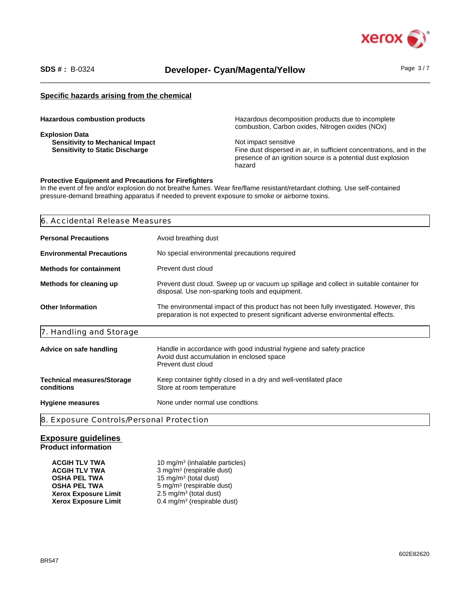

# SDS #: B-0324 **Developer- Cyan/Magenta/Yellow** Page 3/7

#### **Specific hazards arising from the chemical**

| <b>Hazardous combustion products</b>    | Hazardous decomposition products due to incomplete<br>combustion, Carbon oxides, Nitrogen oxides (NOx) |
|-----------------------------------------|--------------------------------------------------------------------------------------------------------|
| <b>Explosion Data</b>                   |                                                                                                        |
| <b>Sensitivity to Mechanical Impact</b> | Not impact sensitive                                                                                   |
| <b>Sensitivity to Static Discharge</b>  | Fine dust dispersed in air, in sufficient concentrations, and in the                                   |
|                                         | presence of an ignition source is a potential dust explosion                                           |
|                                         | hazard                                                                                                 |

#### **Protective Equipment and Precautions for Firefighters**

In the event of fire and/or explosion do not breathe fumes. Wear fire/flame resistant/retardant clothing. Use self-contained pressure-demand breathing apparatus if needed to prevent exposure to smoke or airborne toxins.

| 6. Accidental Release Measures                  |                                                                                                                                                                              |  |  |
|-------------------------------------------------|------------------------------------------------------------------------------------------------------------------------------------------------------------------------------|--|--|
| <b>Personal Precautions</b>                     | Avoid breathing dust                                                                                                                                                         |  |  |
| <b>Environmental Precautions</b>                | No special environmental precautions required                                                                                                                                |  |  |
| <b>Methods for containment</b>                  | Prevent dust cloud                                                                                                                                                           |  |  |
| Methods for cleaning up                         | Prevent dust cloud. Sweep up or vacuum up spillage and collect in suitable container for<br>disposal. Use non-sparking tools and equipment.                                  |  |  |
| <b>Other Information</b>                        | The environmental impact of this product has not been fully investigated. However, this<br>preparation is not expected to present significant adverse environmental effects. |  |  |
| 7. Handling and Storage                         |                                                                                                                                                                              |  |  |
| Advice on safe handling                         | Handle in accordance with good industrial hygiene and safety practice<br>Avoid dust accumulation in enclosed space<br>Prevent dust cloud                                     |  |  |
| <b>Technical measures/Storage</b><br>conditions | Keep container tightly closed in a dry and well-ventilated place<br>Store at room temperature                                                                                |  |  |
| <b>Hygiene measures</b>                         | None under normal use condtions                                                                                                                                              |  |  |
| 8. Exposure Controls/Personal Protection        |                                                                                                                                                                              |  |  |

#### **Exposure guidelines Product information**

| <b>ACGIH TLV TWA</b><br><b>ACGIH TLV TWA</b> | 10 mg/m <sup>3</sup> (inhalable particles)<br>3 mg/m <sup>3</sup> (respirable dust) |
|----------------------------------------------|-------------------------------------------------------------------------------------|
| <b>OSHA PEL TWA</b>                          | 15 mg/m <sup>3</sup> (total dust)                                                   |
| <b>OSHA PEL TWA</b>                          | 5 mg/m <sup>3</sup> (respirable dust)                                               |
| <b>Xerox Exposure Limit</b>                  | 2.5 mg/m <sup>3</sup> (total dust)                                                  |
| <b>Xerox Exposure Limit</b>                  | 0.4 mg/m <sup>3</sup> (respirable dust)                                             |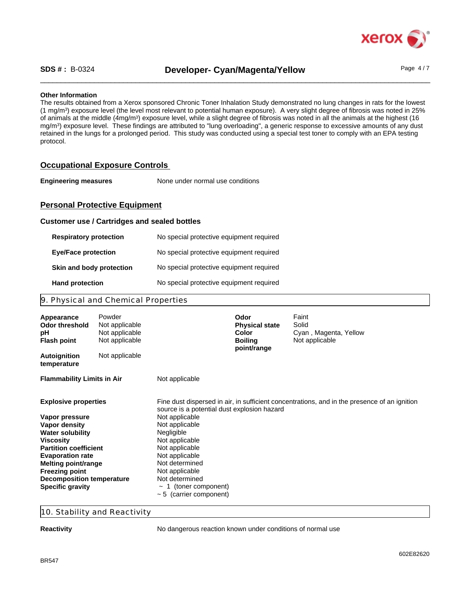

### SDS #: B-0324 **Developer- Cyan/Magenta/Yellow** Page 4/7

#### **Other Information**

The results obtained from a Xerox sponsored Chronic Toner Inhalation Study demonstrated no lung changes in rats for the lowest (1 mg/m<sup>3</sup> ) exposure level (the level most relevant to potential human exposure). A very slight degree of fibrosis was noted in 25% of animals at the middle (4mg/m<sup>3</sup>) exposure level, while a slight degree of fibrosis was noted in all the animals at the highest (16 mg/m<sup>3</sup> ) exposure level. These findings are attributed to "lung overloading", a generic response to excessive amounts of any dust retained in the lungs for a prolonged period. This study was conducted using a special test toner to comply with an EPA testing protocol.

#### **Occupational Exposure Controls**

**Engineering measures** None under normal use conditions

#### **Personal Protective Equipment**

#### **Customer use / Cartridges and sealed bottles**

| <b>Respiratory protection</b> | No special protective equipment required |
|-------------------------------|------------------------------------------|
| <b>Eve/Face protection</b>    | No special protective equipment required |
| Skin and body protection      | No special protective equipment required |
| <b>Hand protection</b>        | No special protective equipment required |

#### 9. Physical and Chemical Properties

| Appearance<br>Odor threshold<br>рH<br><b>Flash point</b>                                                                                                                                                                                                                                | Powder<br>Not applicable<br>Not applicable<br>Not applicable |                                                                                                                                                                                                                                                                                                                                                                         | Odor<br><b>Physical state</b><br><b>Color</b><br><b>Boiling</b><br>point/range | Faint<br>Solid<br>Cyan, Magenta, Yellow<br>Not applicable |  |
|-----------------------------------------------------------------------------------------------------------------------------------------------------------------------------------------------------------------------------------------------------------------------------------------|--------------------------------------------------------------|-------------------------------------------------------------------------------------------------------------------------------------------------------------------------------------------------------------------------------------------------------------------------------------------------------------------------------------------------------------------------|--------------------------------------------------------------------------------|-----------------------------------------------------------|--|
| <b>Autoignition</b><br>temperature                                                                                                                                                                                                                                                      | Not applicable                                               |                                                                                                                                                                                                                                                                                                                                                                         |                                                                                |                                                           |  |
| <b>Flammability Limits in Air</b>                                                                                                                                                                                                                                                       |                                                              | Not applicable                                                                                                                                                                                                                                                                                                                                                          |                                                                                |                                                           |  |
| <b>Explosive properties</b><br>Vapor pressure<br>Vapor density<br><b>Water solubility</b><br><b>Viscosity</b><br><b>Partition coefficient</b><br><b>Evaporation rate</b><br>Melting point/range<br><b>Freezing point</b><br><b>Decomposition temperature</b><br><b>Specific gravity</b> |                                                              | Fine dust dispersed in air, in sufficient concentrations, and in the presence of an ignition<br>source is a potential dust explosion hazard<br>Not applicable<br>Not applicable<br>Negligible<br>Not applicable<br>Not applicable<br>Not applicable<br>Not determined<br>Not applicable<br>Not determined<br>$\sim$ 1 (toner component)<br>$\sim$ 5 (carrier component) |                                                                                |                                                           |  |

#### 10. Stability and Reactivity

**Reactivity Reactivity No dangerous reaction known under conditions of normal use**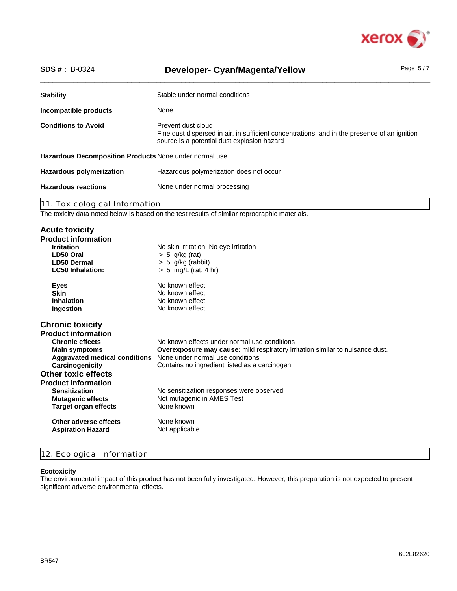

| <b>SDS #: B-0324</b>                                   | <b>Developer- Cyan/Magenta/Yellow</b>                                                                                                                             | Page $5/7$ |  |  |
|--------------------------------------------------------|-------------------------------------------------------------------------------------------------------------------------------------------------------------------|------------|--|--|
| <b>Stability</b>                                       | Stable under normal conditions                                                                                                                                    |            |  |  |
| Incompatible products                                  | None                                                                                                                                                              |            |  |  |
| <b>Conditions to Avoid</b>                             | Prevent dust cloud<br>Fine dust dispersed in air, in sufficient concentrations, and in the presence of an ignition<br>source is a potential dust explosion hazard |            |  |  |
| Hazardous Decomposition Products None under normal use |                                                                                                                                                                   |            |  |  |
| <b>Hazardous polymerization</b>                        | Hazardous polymerization does not occur                                                                                                                           |            |  |  |
| <b>Hazardous reactions</b>                             | None under normal processing                                                                                                                                      |            |  |  |
| 11. Toxicological Information                          |                                                                                                                                                                   |            |  |  |
|                                                        | The toxicity data noted below is based on the test results of similar reprographic materials.                                                                     |            |  |  |
| <b>Acute toxicity</b>                                  |                                                                                                                                                                   |            |  |  |
| <b>Product information</b>                             |                                                                                                                                                                   |            |  |  |
| <b>Irritation</b>                                      | No skin irritation, No eye irritation                                                                                                                             |            |  |  |
| LD50 Oral<br><b>LD50 Dermal</b>                        | $> 5$ g/kg (rat)                                                                                                                                                  |            |  |  |
| <b>LC50 Inhalation:</b>                                | $> 5$ g/kg (rabbit)<br>$> 5$ mg/L (rat, 4 hr)                                                                                                                     |            |  |  |
| <b>Eyes</b>                                            | No known effect                                                                                                                                                   |            |  |  |
| <b>Skin</b>                                            | No known effect                                                                                                                                                   |            |  |  |
| <b>Inhalation</b>                                      | No known effect                                                                                                                                                   |            |  |  |
| Ingestion                                              | No known effect                                                                                                                                                   |            |  |  |
| <b>Chronic toxicity</b>                                |                                                                                                                                                                   |            |  |  |
| <b>Product information</b>                             |                                                                                                                                                                   |            |  |  |
| Chuanta affaata                                        | No known effects under normal use conditions                                                                                                                      |            |  |  |

| <b>Chronic effects</b>               | No known effects under normal use conditions                                         |
|--------------------------------------|--------------------------------------------------------------------------------------|
| <b>Main symptoms</b>                 | <b>Overexposure may cause:</b> mild respiratory irritation similar to nuisance dust. |
| <b>Aggravated medical conditions</b> | None under normal use conditions                                                     |
| Carcinogenicity                      | Contains no ingredient listed as a carcinogen.                                       |
| <b>Other toxic effects</b>           |                                                                                      |
| <b>Product information</b>           |                                                                                      |
| <b>Sensitization</b>                 | No sensitization responses were observed                                             |
| <b>Mutagenic effects</b>             | Not mutagenic in AMES Test                                                           |
| Target organ effects                 | None known                                                                           |
| Other adverse effects                | None known                                                                           |
| <b>Aspiration Hazard</b>             | Not applicable                                                                       |
|                                      |                                                                                      |

### 12. Ecological Information

#### **Ecotoxicity**

The environmental impact of this product has not been fully investigated. However, this preparation is not expected to present significant adverse environmental effects.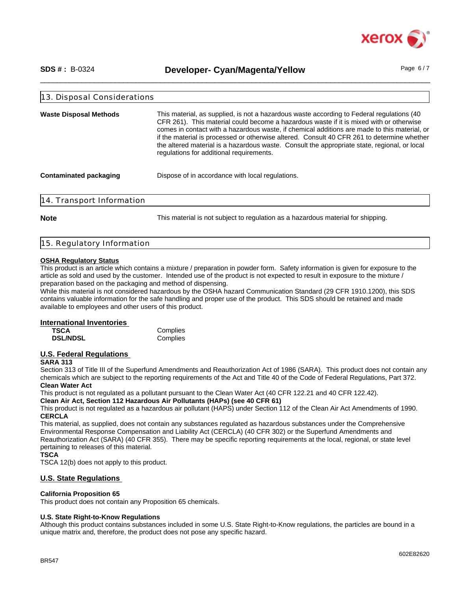

SDS #: B-0324 **Developer- Cyan/Magenta/Yellow** Page 6/7

| 13. Disposal Considerations   |                                                                                                                                                                                                                                                                                                                                                                                                                                                                                                                                |
|-------------------------------|--------------------------------------------------------------------------------------------------------------------------------------------------------------------------------------------------------------------------------------------------------------------------------------------------------------------------------------------------------------------------------------------------------------------------------------------------------------------------------------------------------------------------------|
| <b>Waste Disposal Methods</b> | This material, as supplied, is not a hazardous waste according to Federal regulations (40<br>CFR 261). This material could become a hazardous waste if it is mixed with or otherwise<br>comes in contact with a hazardous waste, if chemical additions are made to this material, or<br>if the material is processed or otherwise altered. Consult 40 CFR 261 to determine whether<br>the altered material is a hazardous waste. Consult the appropriate state, regional, or local<br>regulations for additional requirements. |
| <b>Contaminated packaging</b> | Dispose of in accordance with local regulations.                                                                                                                                                                                                                                                                                                                                                                                                                                                                               |
| 14. Transport Information     |                                                                                                                                                                                                                                                                                                                                                                                                                                                                                                                                |
| <b>Note</b>                   | This material is not subject to regulation as a hazardous material for shipping.                                                                                                                                                                                                                                                                                                                                                                                                                                               |

#### 15. Regulatory Information

#### **OSHA Regulatory Status**

This product is an article which contains a mixture / preparation in powder form. Safety information is given for exposure to the article as sold and used by the customer. Intended use of the product is not expected to result in exposure to the mixture / preparation based on the packaging and method of dispensing.

While this material is not considered hazardous by the OSHA hazard Communication Standard (29 CFR 1910.1200), this SDS contains valuable information for the safe handling and proper use of the product. This SDS should be retained and made available to employees and other users of this product.

#### **International Inventories**

| <b>TSCA</b>     | Complies |
|-----------------|----------|
| <b>DSL/NDSL</b> | Complies |

#### **U.S. Federal Regulations**

#### **SARA 313**

Section 313 of Title III of the Superfund Amendments and Reauthorization Act of 1986 (SARA). This product does not contain any chemicals which are subject to the reporting requirements of the Act and Title 40 of the Code of Federal Regulations, Part 372. **Clean Water Act**

This product is not regulated as a pollutant pursuant to the Clean Water Act (40 CFR 122.21 and 40 CFR 122.42).

**Clean Air Act, Section 112 Hazardous Air Pollutants (HAPs) (see 40 CFR 61)**

This product is not regulated as a hazardous air pollutant (HAPS) under Section 112 of the Clean Air Act Amendments of 1990. **CERCLA**

This material, as supplied, does not contain any substances regulated as hazardous substances under the Comprehensive Environmental Response Compensation and Liability Act (CERCLA) (40 CFR 302) or the Superfund Amendments and Reauthorization Act (SARA) (40 CFR 355). There may be specific reporting requirements at the local, regional, or state level pertaining to releases of this material.

**TSCA**

TSCA 12(b) does not apply to this product.

#### **U.S. State Regulations**

#### **California Proposition 65**

This product does not contain any Proposition 65 chemicals.

#### **U.S. State Right-to-Know Regulations**

Although this product contains substances included in some U.S. State Right-to-Know regulations, the particles are bound in a unique matrix and, therefore, the product does not pose any specific hazard.